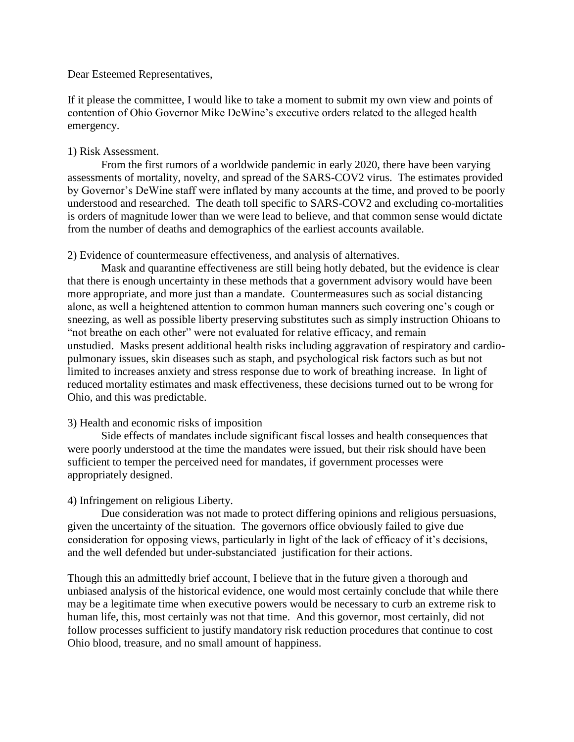# Dear Esteemed Representatives,

If it please the committee, I would like to take a moment to submit my own view and points of contention of Ohio Governor Mike DeWine's executive orders related to the alleged health emergency.

# 1) Risk Assessment.

From the first rumors of a worldwide pandemic in early 2020, there have been varying assessments of mortality, novelty, and spread of the SARS-COV2 virus. The estimates provided by Governor's DeWine staff were inflated by many accounts at the time, and proved to be poorly understood and researched. The death toll specific to SARS-COV2 and excluding co-mortalities is orders of magnitude lower than we were lead to believe, and that common sense would dictate from the number of deaths and demographics of the earliest accounts available.

# 2) Evidence of countermeasure effectiveness, and analysis of alternatives.

Mask and quarantine effectiveness are still being hotly debated, but the evidence is clear that there is enough uncertainty in these methods that a government advisory would have been more appropriate, and more just than a mandate. Countermeasures such as social distancing alone, as well a heightened attention to common human manners such covering one's cough or sneezing, as well as possible liberty preserving substitutes such as simply instruction Ohioans to "not breathe on each other" were not evaluated for relative efficacy, and remain unstudied. Masks present additional health risks including aggravation of respiratory and cardiopulmonary issues, skin diseases such as staph, and psychological risk factors such as but not limited to increases anxiety and stress response due to work of breathing increase. In light of reduced mortality estimates and mask effectiveness, these decisions turned out to be wrong for Ohio, and this was predictable.

# 3) Health and economic risks of imposition

Side effects of mandates include significant fiscal losses and health consequences that were poorly understood at the time the mandates were issued, but their risk should have been sufficient to temper the perceived need for mandates, if government processes were appropriately designed.

# 4) Infringement on religious Liberty.

Due consideration was not made to protect differing opinions and religious persuasions, given the uncertainty of the situation. The governors office obviously failed to give due consideration for opposing views, particularly in light of the lack of efficacy of it's decisions, and the well defended but under-substanciated justification for their actions.

Though this an admittedly brief account, I believe that in the future given a thorough and unbiased analysis of the historical evidence, one would most certainly conclude that while there may be a legitimate time when executive powers would be necessary to curb an extreme risk to human life, this, most certainly was not that time. And this governor, most certainly, did not follow processes sufficient to justify mandatory risk reduction procedures that continue to cost Ohio blood, treasure, and no small amount of happiness.